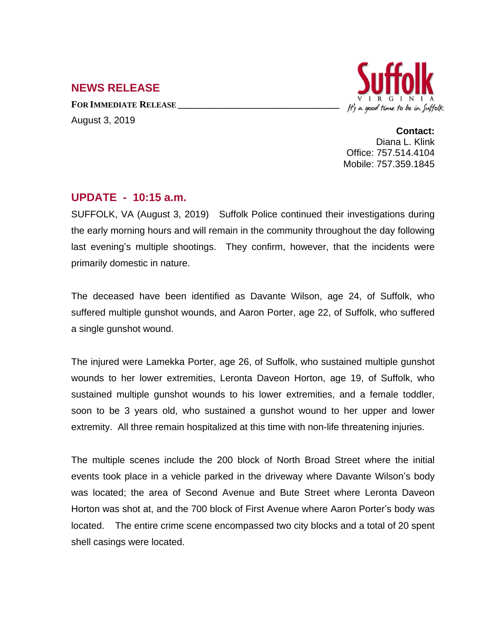## **NEWS RELEASE**

**FOR IMMEDIATE RELEASE \_\_\_\_\_\_\_\_\_\_\_\_\_\_\_\_\_\_\_\_\_\_\_\_\_\_\_\_\_\_\_\_\_\_** August 3, 2019



**Contact:** Diana L. Klink Office: 757.514.4104 Mobile: 757.359.1845

## **UPDATE - 10:15 a.m.**

SUFFOLK, VA (August 3, 2019) Suffolk Police continued their investigations during the early morning hours and will remain in the community throughout the day following last evening's multiple shootings. They confirm, however, that the incidents were primarily domestic in nature.

The deceased have been identified as Davante Wilson, age 24, of Suffolk, who suffered multiple gunshot wounds, and Aaron Porter, age 22, of Suffolk, who suffered a single gunshot wound.

The injured were Lamekka Porter, age 26, of Suffolk, who sustained multiple gunshot wounds to her lower extremities, Leronta Daveon Horton, age 19, of Suffolk, who sustained multiple gunshot wounds to his lower extremities, and a female toddler, soon to be 3 years old, who sustained a gunshot wound to her upper and lower extremity. All three remain hospitalized at this time with non-life threatening injuries.

The multiple scenes include the 200 block of North Broad Street where the initial events took place in a vehicle parked in the driveway where Davante Wilson's body was located; the area of Second Avenue and Bute Street where Leronta Daveon Horton was shot at, and the 700 block of First Avenue where Aaron Porter's body was located. The entire crime scene encompassed two city blocks and a total of 20 spent shell casings were located.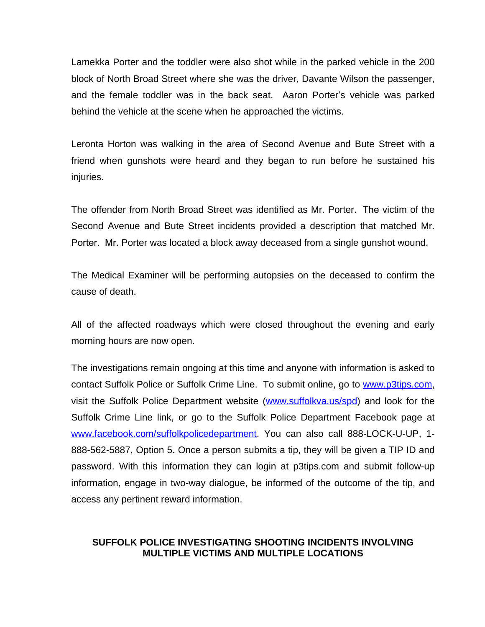Lamekka Porter and the toddler were also shot while in the parked vehicle in the 200 block of North Broad Street where she was the driver, Davante Wilson the passenger, and the female toddler was in the back seat. Aaron Porter's vehicle was parked behind the vehicle at the scene when he approached the victims.

Leronta Horton was walking in the area of Second Avenue and Bute Street with a friend when gunshots were heard and they began to run before he sustained his injuries.

The offender from North Broad Street was identified as Mr. Porter. The victim of the Second Avenue and Bute Street incidents provided a description that matched Mr. Porter. Mr. Porter was located a block away deceased from a single gunshot wound.

The Medical Examiner will be performing autopsies on the deceased to confirm the cause of death.

All of the affected roadways which were closed throughout the evening and early morning hours are now open.

The investigations remain ongoing at this time and anyone with information is asked to contact Suffolk Police or Suffolk Crime Line. To submit online, go to [www.p3tips.com,](http://www.p3tips.com) visit the Suffolk Police Department website ([www.suffolkva.us/spd](http://www.suffolkva.us/spd)) and look for the Suffolk Crime Line link, or go to the Suffolk Police Department Facebook page at [www.facebook.com/suffolkpolicedepartment](http://www.facebook.com/suffolkpolicedepartment). You can also call 888-LOCK-U-UP, 1-888-562-5887, Option 5. Once a person submits a tip, they will be given a TIP ID and password. With this information they can login at p3tips.com and submit follow-up information, engage in two-way dialogue, be informed of the outcome of the tip, and access any pertinent reward information.

## **SUFFOLK POLICE INVESTIGATING SHOOTING INCIDENTS INVOLVING MULTIPLE VICTIMS AND MULTIPLE LOCATIONS**